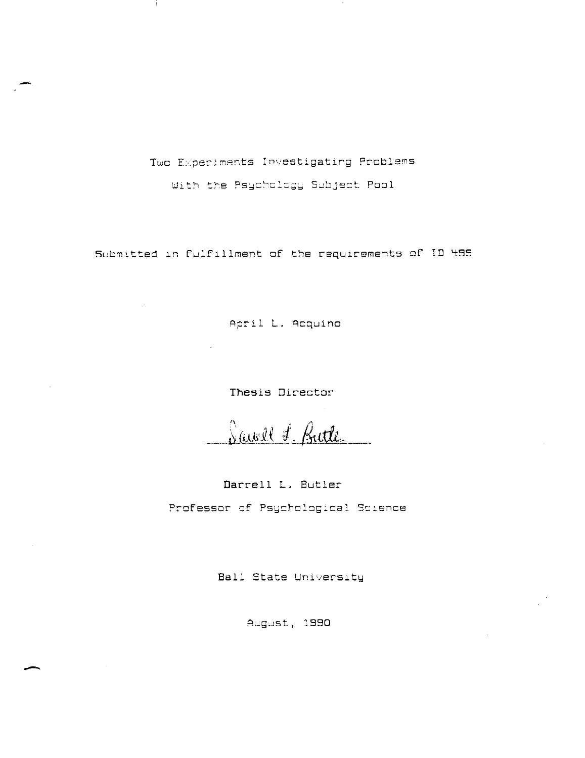Two Experiments Investigating Problems

With the Psychology Subject Pool

Submitted in Fulfillment of the requirements of ID 499

April L. Acquino

Thesis Director

Savell F. Battle

Darrell L. Butler Professor of Psychological Science

Ball State University

August, 1990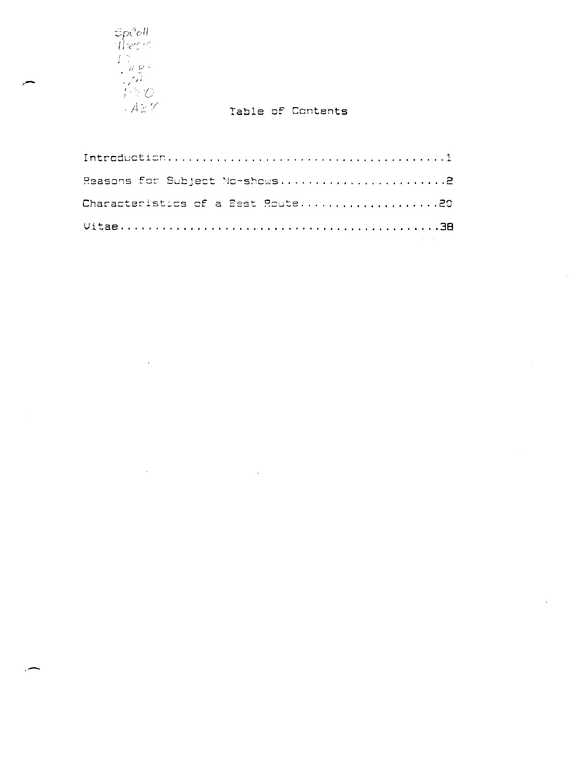

 $\sim$ 

# Table of Contents

 $\hat{\mathcal{A}}$ 

| Reasons for Subject No-shows2     |
|-----------------------------------|
| Characteristics of a Best Route20 |
|                                   |

 $\bar{\mathcal{A}}$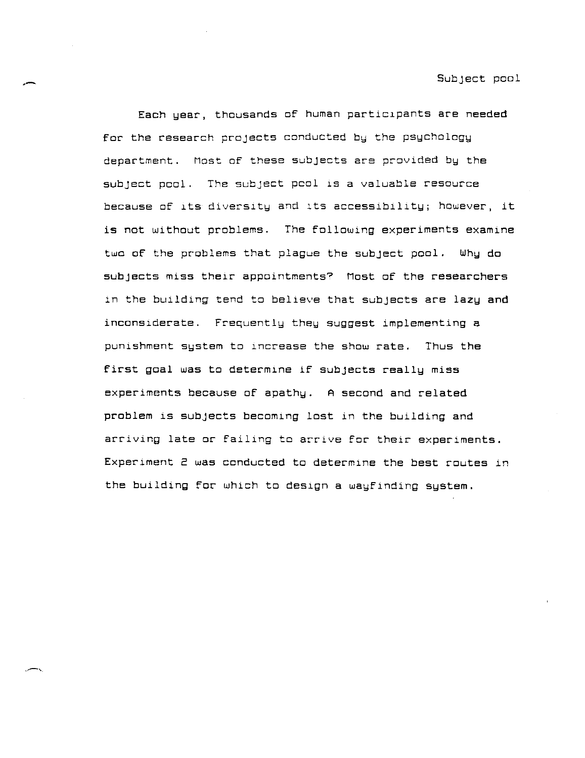Each year, thousands of human particlpants are needed for the research projects conducted by the psychology department. Most of these subjects are provided by the subject pool. The subject peol 1S a valuable resource because of its diversity and its accessibility; however, it is not without problems. The following experiments examine two of the problems that plague the subject pool. Why do subjects miss their appointments? Most of the researchers in the building tend to belleve that subjects are lazy and inconslderate. Frequently they suggest implementing a punlshment system to lncrease the show rate. Thus the first goal was to determine if subjects really miss experiments because of apathy. A second and related problem is subjects becoming lost in the building and arriving late or faillng to arrlve for their experiments. Experiment 2 was conducted to determlne the best routes in the building for which to design a wayfinding system.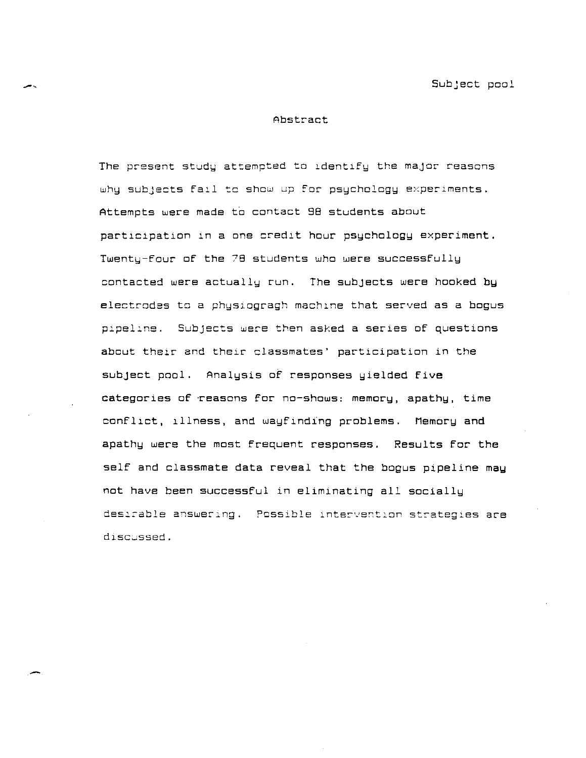Subject pool

## Abstract

The present study attempted to identify the major reasons **why subjects fall to show up for psychology experIments.**  Attempts were made to contact 98 students about participation in a one credit hour psychology experiment. Twenty-four of the 78 students who were successfully contacted were actually run. The subjects were hooked by electrodes to a physiogragh machine that served as a bogus **Subjects were then asked a series of questions**  about their and their classmates' participation in the subject pool. Analysis of responses yielded five categories of 'reasons for no-shows: memory, apathy, time confllct, 111ness, and wayfinding problems. Memory and apathy were the most frequent responses. Results for the self and classmate data reveal that the bogus pipeline may not have been successful in eliminating all socially desirable answering. Possible intervention strategies are discussed.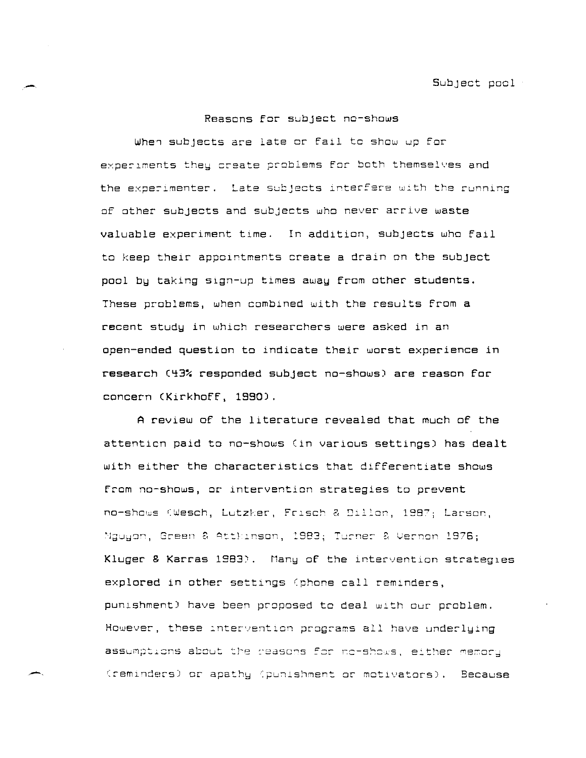# Reasons for subject no-shows

When subjects are late or fail to show up for experiments they create problems for both themselves and the experimenter. Late subjects interfere with the running of other subjects and subjects who never arrive waste valuable experiment time. In addition, subjects who fail to keep their appointments create a drain on the subject pool by taking sign-up times away from other students. These problems, when combined with the results from a recent study in which researchers were asked in an open-ended question to indicate their worst experience in research (43% responded subject no-shows) are reason for concern (Kirkhoff, 1990).

A review of the literature revealed that much of the attention paid to no-shows (in various settings) has dealt with either the characteristics that differentiate shows from no-shows, or intervention strategies to prevent no-shows (Wesch, Lutzker, Frisch & Dillon, 1987; Larson, Mguyon, Green & Atthinson, 1983; Turner & Vernon 1976; Kluger & Karras 1983). Many of the intervention strategies explored in other settings (phone call reminders, punishment) have been proposed to deal with our problem. However, these intervention programs all have underlying assumptions about the reasons for no-shows, either memory (reminders) or apathy (punishment or motivators). Because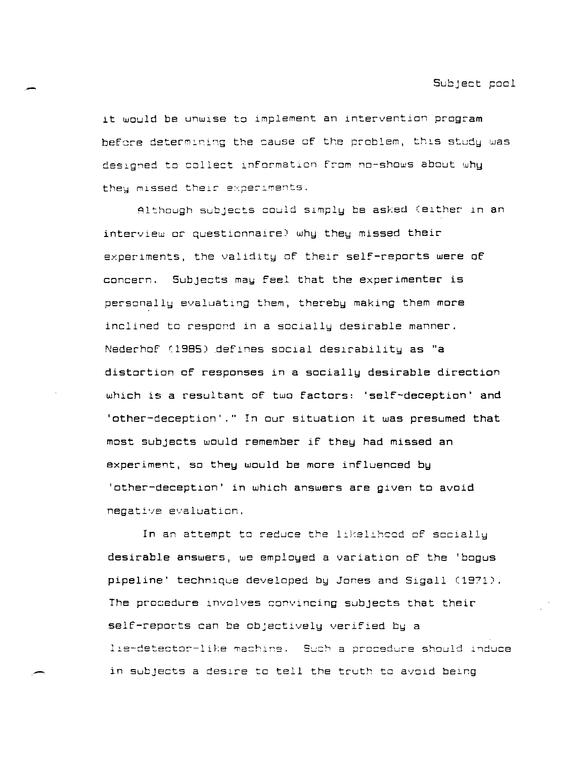it would be unwise to implement an intervention program **before** determ~ni~g **the sause of the** p~oblem, **thlS study was**  designed to collect information from no-shows about why they missed their experiments.

Although subjects could simply be asked (either in an  $interview$  or questionnaire) why they missed their experiments, the validity of their self-reports were of concern. Subjects may feel that the experimenter is personally evaluating them, thereby making them more inclined to respond in a socially desirable manner. Nederhof (1985) defines social desirability as "a distortion of responses in a socially desirable direction which is a resultant of two Factors: 'selF-deception' and ·other-deception·.·· In our situation it was presumed that most subjects would remember if they had missed an  $experiments, so they would be more influenced by$ 'other-deception' in which answers are given to avoid **negative evaluation.** 

In an attempt to reduce the likelihood of socially desirable answers, we employed a variation of the 'bogus  $p$ ipeline' technique developed by Jones and Sigall (1971). The procedure involves convincing subjects that their self-reports can be objectively verified by a lie-detector-like machine. Such a procedure should induce in subjects a desire to tell the truth to avold being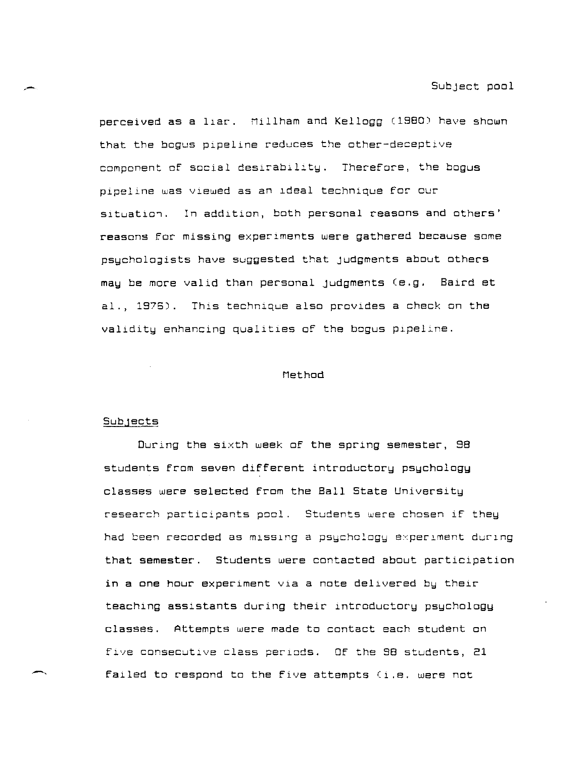perceived **as a** 11ar. Millham and Kellogg (1980) have shown that the bogus pipeline reduces the other-deceptive component of social desirability. Therefore, the bogus pipellne was viewed as an ldeal technlque for our situation. In addition, both personal reasons and others' reasons for missing experlments were gathered because some psychologists have suggested that judgments about others may be more valid than personal judgments (e.g. Baird et al., 1976). This technique also provides a check on the validity enhancing qualities of the bogus pipeline.

#### Method

#### $Sub$  $gets$

During the sixth week of the spring semester, 98 students from seven different introductory psychology classes were selected from the Ball State University research participants pool. Students were chosen if they had been recorded as missing a psychology experiment during that semester. Students were contacted about participation in a one hour experiment via a note delivered by their teaching assistants during their introductory psychology classes. Attempts were made to contact each student on **five consecutIve class perIods. Of the 98 students, 21**  failed to respond to the five attempts (i.e. were not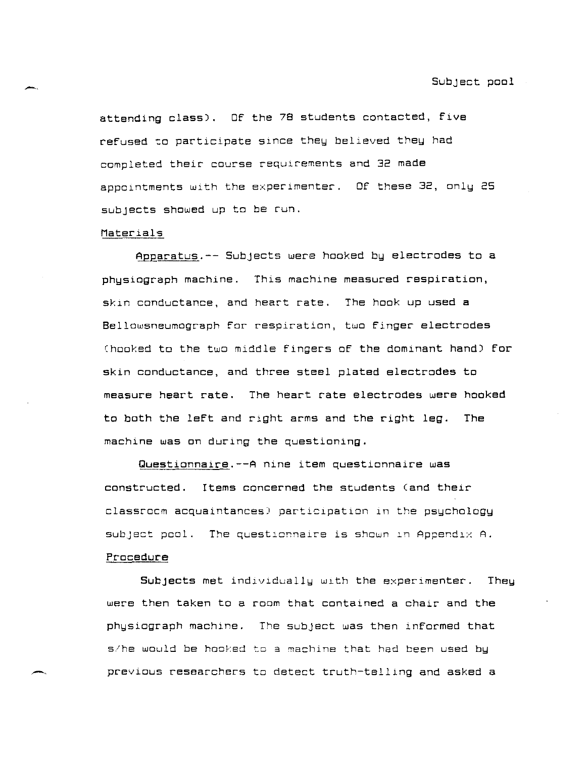attending class). Of the 78 students contacted, five refused to participate since they believed they had completed their course requIrements and 32 made appointments with the experimenter. Of these 32, only 25 subjects showed up to be run.

## Materials

~Earatus.-- Subjects were hooked b~ electrodes to a physiograph machine. This machine measured respiration, skin conductance, and heart rate. The hook up used a Bellowsneumograph for respiration, two finger electrodes Chooked to the two middle fingers of the dominant hand) for skin conductance, and three steel plated electrodes to measure heart rate. The heart rate electrodes were hooked to both the left and right arms and the right leg. The machine was on during the questioning.

Questionnaire.--A nine item questionnaire was constructed. Items concerned the students (and their classrocm acquaintances) participation in the psychology **subject peal. The** questlc~nalre **is shown In AppendIX A.** 

#### Procedure

Subjects met individually with the experimenter. They were then taken to a room that contained a chair and the physiograph machine. The subject was then informed that s/he would be hooked to a machine that had been used by previous researchers to detect truth-telling and asked a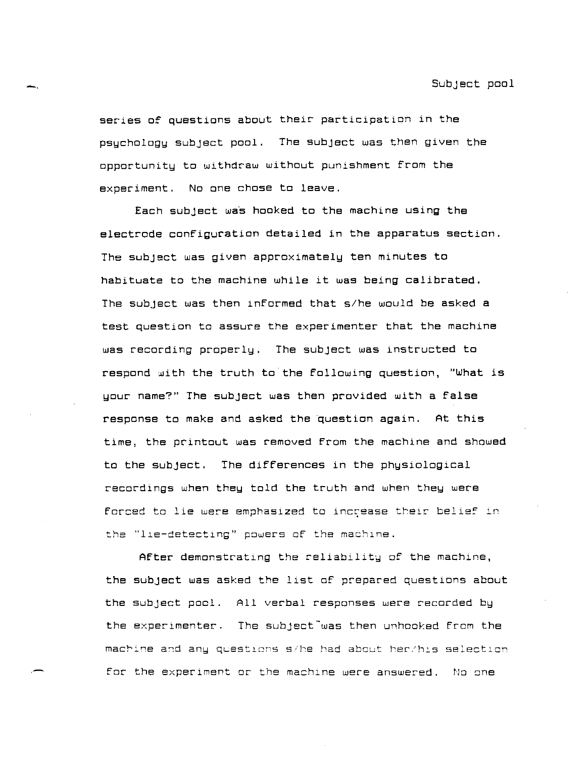Subject pool

series of questions about their participation in the psychology subject pool. The subject was then given the opportunity to withdraw without punishment from the experiment. No one chose to leave.

-.

.-

Each subject was hooked to the machine using the electrode configuration detailed *in* the apparatus section. The subject was given approximately ten minutes to habituate to the machine while it was being calibrated. The subject was then informed that s/he would be asked a test question to assure the experimenter that the machine was recording properly. The subject was instructed to respond with the truth to the following question, "What is your name?" The subject was then provided with a false response to make and asked the question again. At this time, the printout was removed from the machine and showed to the subject. The differences in the physiological recordings when they told the truth and when they were forced to lie were emphasized to increase their belief in **the "1 J.e-detecti ng " p8wers of the mach 1 ne.** 

After demonstrating the reliability of the machine, the subject was asked the list of prepared questions about the subject pool. All verbal responses were recorded by the experimenter. The subject was then unhooked from the  $m$ achine and any questions s/he had about her/his selection for the experiment or the machine were answered. No one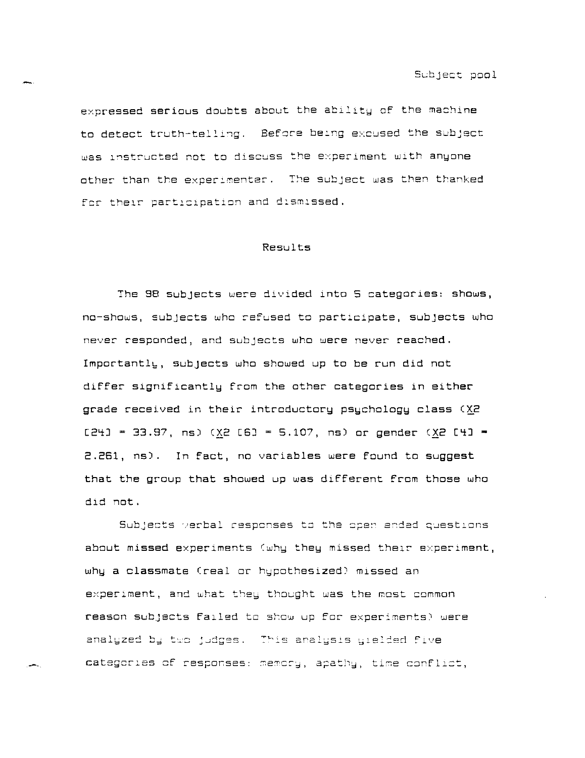expressed serious doubts about the ability of the machine to detect truth-telll~g. **Befcre be:ng excused the subject was** l~structed **not to discuss the experIment with anyone other than the** exper:~enter. **The subject was then** t~anked for their participation and dismissed.

#### Results

The 98 subjects were divlded lnto 5 categories: shows, no-shows, subjects who refused to partlcipate, subJects who never responded, and subjects who were never reached. Importantly, subjects who showed up to be run did not differ significantly from the other categories in either grade received in their introductory psychology class  $(XZ)$  $[24] = 33.97$ , ns) (X2 [6] = 5.107, ns) or gender (X2 [4]  $=$ 2.261, ns). In fact, no variables were found to suggest that the group that showed up was different from those who dld not.

Subjects verbal responses to the open ended questions **about missed experiments (why they missed thslr experiment,**  why a classmate (real or hypothesized) missed an experiment, and what they thought was the most common  $r$ eason subjects failed to show up for experiments) were analyzed by two judges. This analysis gielded five categories of responses: memory, apathy, time conflict,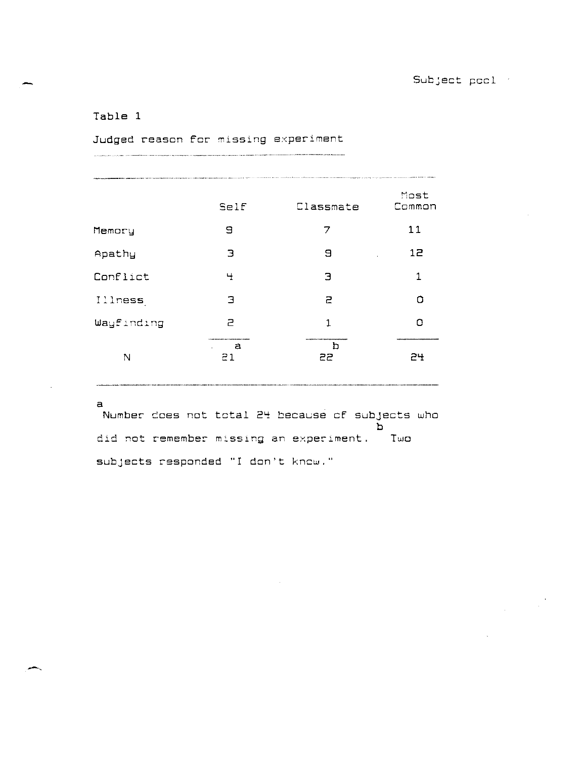# Table 1

Judged reason for missing experiment 

| THE CONSTRUCTION OF REAL PROPERTY AND COLUMN TO A REPORT OF THE COMPANY OF THE COMPANY OF THE CONSTRUCTION OF THE CONSTRUCTION OF THE CONSTRUCTION OF THE COMPANY OF THE CONSTRUCTION OF THE COMPANY OF THE CONSTRUCTION OF TH |                                                                        |           |                |  |  |  |
|--------------------------------------------------------------------------------------------------------------------------------------------------------------------------------------------------------------------------------|------------------------------------------------------------------------|-----------|----------------|--|--|--|
|                                                                                                                                                                                                                                | Self                                                                   | Classmate | Most<br>Common |  |  |  |
| Memory                                                                                                                                                                                                                         | 9                                                                      | 7         | 11             |  |  |  |
| Apathy                                                                                                                                                                                                                         | З                                                                      | Э         | 12             |  |  |  |
| Conflict                                                                                                                                                                                                                       | Ч                                                                      | Э         | 1              |  |  |  |
| Illness                                                                                                                                                                                                                        | Э                                                                      | 2         | Ω              |  |  |  |
| Wayfinding                                                                                                                                                                                                                     | Ρ                                                                      | 1         | n              |  |  |  |
| N                                                                                                                                                                                                                              | 110 Animala Animala Animala Animala Animala Animala Animala<br>а<br>21 | 22        | ----<br>24     |  |  |  |

 $\mathbf{a}$ 

Number does not total 24 because of subjects who b did not remember missing an experiment. Two subjects responded "I don't know."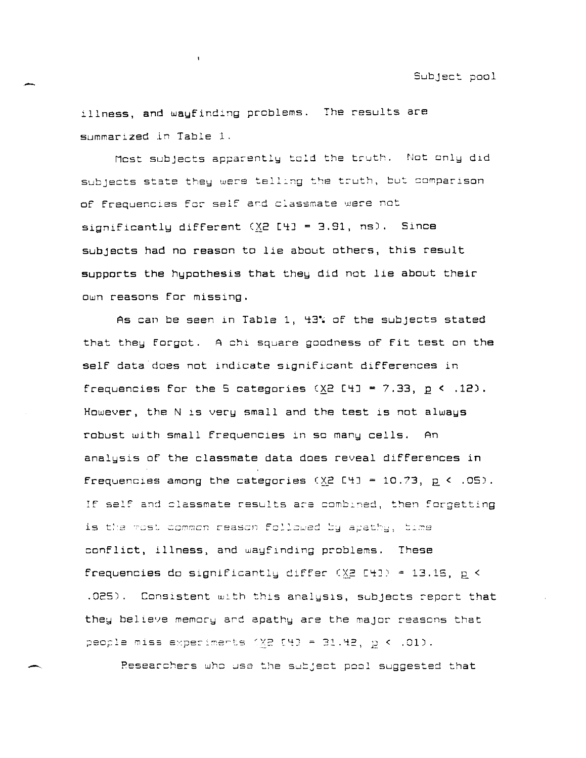illness, and wayfinding problems. The results are summar1zed in Table 1.

 $\mathbf{I}$ 

Mest subjects apparently told the truth. Not only did subjects state they were telling the truth, but comparison of frequencies for self and classmate were not significantly different  $(XZ 143 = 3.91, ns)$ . Since subjects had no reason to *lie* about others, this result supports the hypothesis that they did not lie about their own reasons for missing.

As can be seen in Table 1, 43% of the subjects stated that they forgot. A chi square goodness of fit test on the self data does not indicate significant differences in frequencies for the 5 categories  $(XZ E+J = 7.33, p \le .12)$ . However, the N is very small and the test is not always robust with small frequencies in so many cells. An analysis of the classmate data does reveal differences in frequencies among the categories  $(XZ \tI+1 = 10.73, p \tA.05)$ . If self and classmate results are combined, then forgetting is the most common reason followed by apathy, time confli<mark>ct, illness, a</mark>nd wayfinding problems. These **frequencies do significantlu differ** (~~ [~J <sup>=</sup>13.15, n < <"- .025). Consistent with this analysis, subjects report that they believe memory and apathy are the major reasons that people miss experiments  $XZ$  [4] = 31.42,  $p < .01$ ).

Researchers who use the subject pool suggested that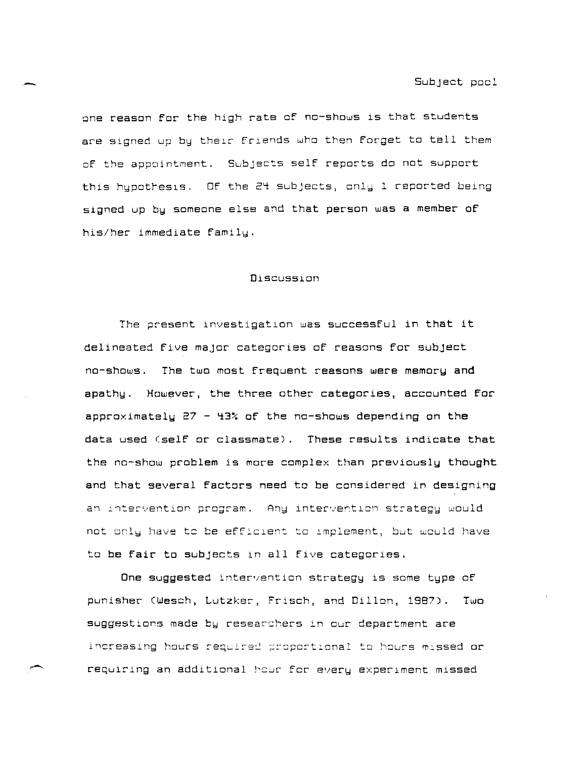one reason for the high rate of no-shows is that students are signed up by their friends who then forget to tell them of the appointment. Subjects self reports do not support this hypothesis. Of the 24 subjects, only 1 reported being signed up by someone else and that person was a member of his/her immediate family.

#### Discussion

The present investigation was successful in that it delineated five major categories of reasons for subject no-shows. The two most frequent reasons were memory **and**  apathy. However, the three other categories, accounted for approximately  $27 - 43$  of the no-shows depending on the data used (self or classmate). These results indicate that the no-show problem is more complex than previously thought and that several factors need to be considered in designing  $a$ <sup>n</sup> intervention program. Any intervention strategy would  $not ~ only ~ have ~ the ~ efficient to ~ implement, but would have$ to be fair to subjects in all five categories.

One suggested intervention strategy is some type of punisher (Wesch, Lutzker, Frisch, and Dillon, 1987). Two suggestions made by researshers in our department are increasing hours required proportional to hours missed or requiring an additional hour for every experiment missed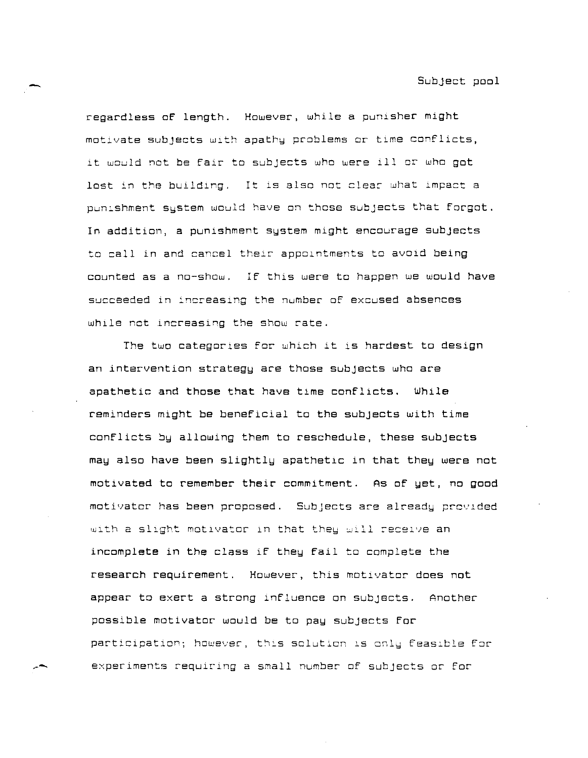regardless of length. However, while a punisher might motivate subjects with apathy problems or time conflicts, it would not be fair to subjects who were ill or who got lost in the building. It is also not clear what impact a punishment system would have on those subjects that forgot. In addition, a punishment system might encourage subjects to call in and cancel their appolntments to avold being counted as a no-show. If thls were to happen we would have succeeded in increasing the number of excused absences while not increasing the show rate.

The two categories for which it is hardest to design an intervention strategy are those subjects who are apathetic and those that have time conflicts. While reminders might be beneficial to the subjects with time conflicts by allowing them to reschedule, these subjects may also have been slightly apathetic in that they were not motivated to remember their commitment. As of yet, no good motivator has been proposed. **Subjects are alreadu prcvlded**  with a slight motivator in that they will receive an incomplete in the class if they fail to complete the research requirement. However, this motlvator does not appear to exert a strong influence on subjects. Another possible motivator would be to pay subjects for  $participation;$  however, this solution is only feasible for experiments requiring a small number of subjects or for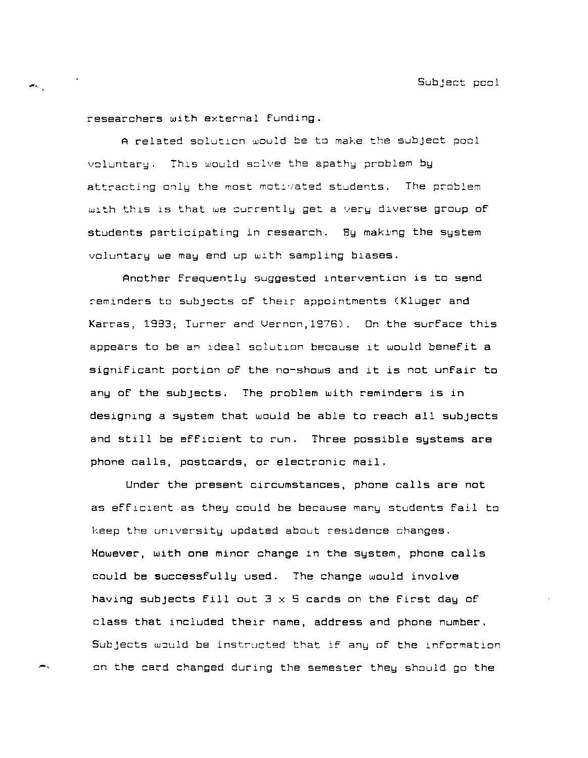researchers with external funding.

-,

жc,

A related solution would be to make the subject pool voluntary. This would solve the apathy problem by  $\alpha$  **attracting only the most motivated students. The problem** with this is that we currently get a very diverse group of students participating in research. By making the system voluntary we may end up with sampling biases.

Another frequently suggested intervention is to send reminders to subjects of their appointments (Kluger and Karras, 1983; Turner and Vernon, 1976). On the surface this appears to be an ldeal solution because it would benefit a significant portion of the no-shows and *it is* not unfair to any of the subjects. The problem with reminders *is* in designing a system that would be able to reach all subjects and still be efficient to run. Three possible sustems are phone calls, postcards, or electronic mail.

Under the present Circumstances, phone calls are not as efficient as they could be because many students fail to keep the university updated about residence changes. However, with one minor change in the system, phone calls could be successfully used. The change would involve having subjects fill out  $3 \times 5$  cards on the first day of class that included their name, address and phone number. Subjects would be instructed that if any of the information on the card changed during the semester they should go the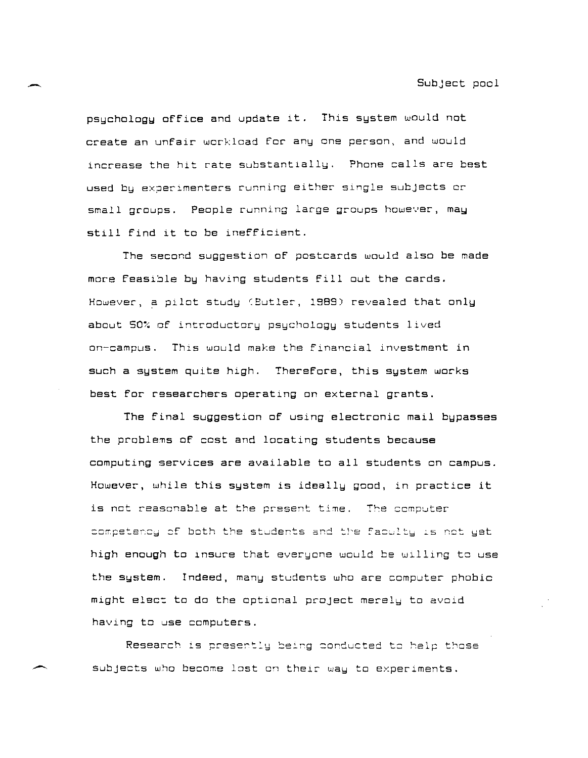psychology office and update it. This system would not create an unfair workload for any one person, and would increase the hit rate substantially. Phone calls are best used by experimenters running either single subjects or small groups. People running large groups however, may still find it to be inefficient.

The second suggestlon of postcards would also be made more feasible by having students fill out the cards. However, a pilot study (Butler, 1989) revealed that only about 50% of introductory psychology students lived **on-campus.** ThlS would make the financial investment in such a system quite high. Therefore, this system works best for researchers operating on external grants.

The final suggestion of using electronic mail bypasses the problems of cost and locating students because computing services are available to all students on campus. However, while this system is ideally good, in practice it is not reasonable at the present time. The computer competency of both the students and the faculty is not yet high enough to insure that everyone would be willing to use the system. Indeed, many students who are computer phobic might elect to do the optional project merely to avoid having to use computers.

Research is presently being conducted to help those subjects who become lost on their way to experiments.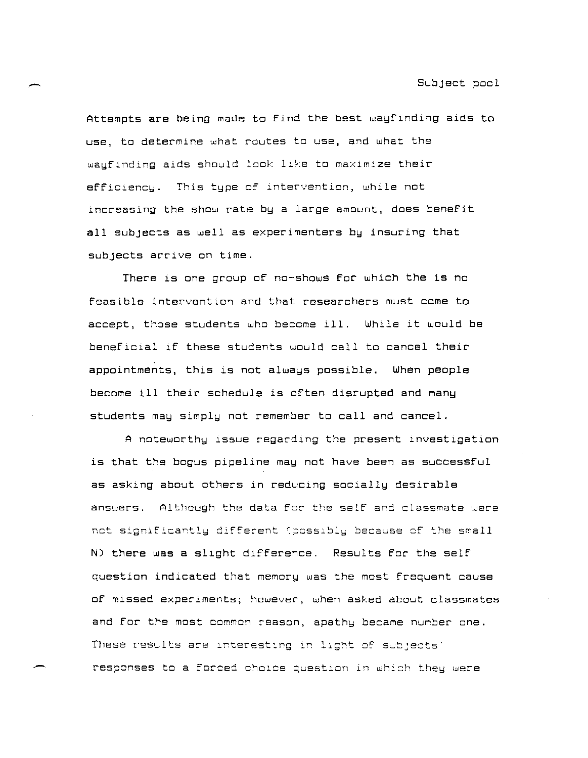Attempts **are** being made to find the best wayfinding aids to use, to determine what routes to use, and what the wayfinding aids should look like to maximize their efficlency. This type of lntervention, while not lncreasing the show rate by a large amount, does benefit all subjects **as** well as experimenters by insuring that subjects arrive on time.

There is one group of no-shows for which the is no feasible interventlon and that researchers must come to accept, those students who become ill. While it would be beneficial lf these students would call to cancel their appointments, this is not always possible. When people become ill their schedule is often disrupted and many students may simply not remember to call and cancel.

A noteworthy issue regarding the present investigation is that the bogus pipeline may not have been **as** successful **as** asking about others in reduclng socially desirable answers. Although the data for the self and classmate were  $net$  significantly different (possibly because of the small N) there was a slight difference. Results for the self question indicated that memory was the most frequent cause of mlssed experiments; however, when asked about classmates and for the most common reason, apathy became number one. These results are interesting in light of subjects' responses to a forced choice question in which they were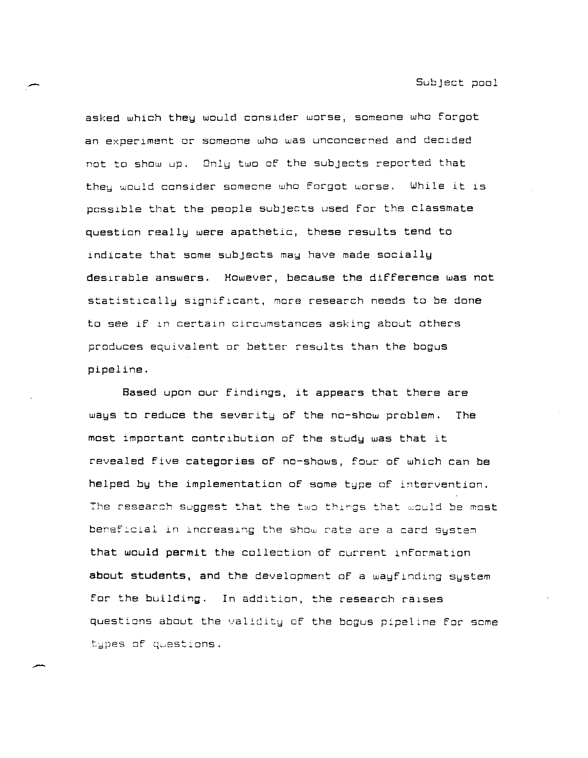asked which they would consider worse, someone who forgot an experiment or scmeone who was unconcerned and decided not to show up. Only two of the subjects reported that they would consider someone who forgot worse. While it is possible that the people subjects used for the classmate question really were apathetic, these results tend to indicate that some subjects may have made socially desirable answers. However, because the difference was not statistically significant, more research needs to be done to see if in certain circumstances asking about others produces equivalent or better results than the bogus pipeline.

Based upon our findings, it appears that there are ways to reduce the severity of the no-show problem. The most important contribution of the study was that it revealed five categories of no-shows, four of which can be helped by the implementation of some type of intervention. The research suggest that the two things that would be most beneficial in increasing the show rate are a card system that would permit the collection of current information about students, and the development of a wayfinding system for the building. In addition, the research raises questions about the validity of the bcgus pipeline for some types of questions.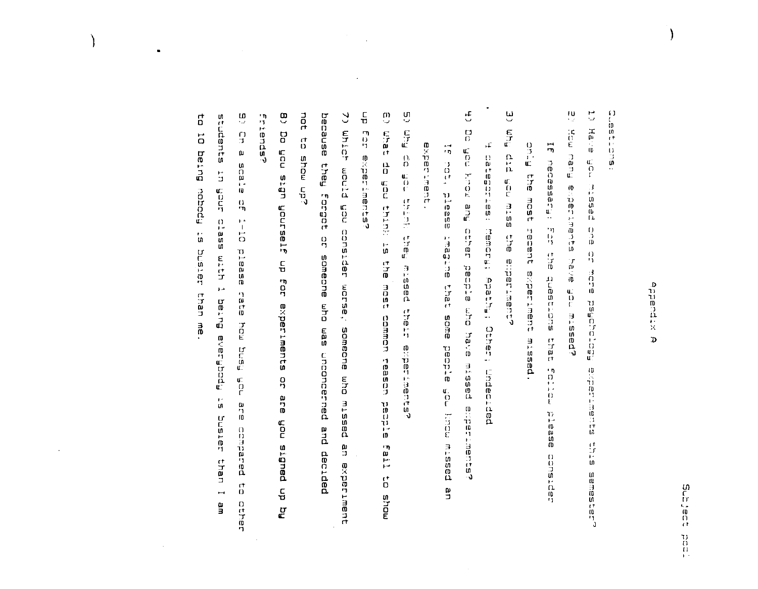# o<br>Atbuatix  $\mathbf{D}$

**CONSIGNATION** 

 $\frac{10}{2}$  $\overline{\mathbb{C}}$  $H$ a $\sim$ ə ic<br>C<br>E Rueu  $\frac{a}{\Omega}$ **heasin** 0  $\frac{1}{10}$  $\frac{0}{2}$  $\frac{1}{\alpha}$ ា<br>ព្យូ<br>បើ ic<br>C Raptotafisd missed? 机运行机 计目的过程  $\frac{11}{11}$ sanester?

 $F_{\text{m}}$ uo  $\overline{5}$ **IFISSSEDE**  $\frac{17}{10}$ EOST ir<br>Vi recent  $\frac{17}{17}$ experiment dricate mortos esta missed. **Paase** captando

 $\tilde{\mathbf{h}}$  $\mathfrak{g}^{\varepsilon}$  $\frac{\alpha}{n}$ in<br>C E578 the emperiments

 $\mathcal{A}$ catement indianal terms of the constanting the contract of the constant of the constant of the constant of the

 $\mathbf{f}$ rout not be If hot, please ur.<br>Bu ローケー ted the that papie mho anne have. mount hop atdoad missed e rementer passtw  $\frac{1}{2}$ 

Ú Er  $\begin{array}{c} \mathbb{C} \\ \mathbb{C} \\ \mathbb{C} \end{array}$ 计算法 t, ar messed 等面片 enterines?

**Bxperiment** 

- $\frac{\Gamma}{\mathbf{U}}$  $\frac{m}{2}$ n<br>Par 与动け experiments?  $\frac{13}{12}$ r<br>D<br>C **Shink:** aut sr ingst common teasch papple Fail  $\ddot{\mathbf{c}}$ mous
- pot  $\mathfrak{S}$ asusad **Uhich**  $\vec{a}$ show up? **Fueld** printm Eorgot der constder  $\frac{1}{2}$ sameane who warse, 5 BM someche noncerned e<br>Ja missed and<br>D មិ<br>ជ decided experiment
- $\tilde{\mathbf{a}}$ Eriendsr po Anoñ ubis noñ og up for experiments å a<br>D<br>D noñ hq dn pauðts
- $\frac{1}{2}$ đ w stants  $\vec{a}$  $\frac{1}{2}$  $\mathbf{u}$ Butaq atate  $\frac{1}{2}$ anañ Readed  $\frac{\Omega}{D}$  $7-10$ sse<sub>T</sub>c  $\mathfrak{a}$ **TETENT Pleas** E<br>End<br>J  $\overline{\mathbf{r}}$  $\frac{1}{10}$ than Fpogfisana Butag 3<br>0 rou<br>E בים<br>הפיה in<br>C<br>C  $\mathfrak{g}^*$  $\begin{smallmatrix} \omega\ 1\ 0 \end{smallmatrix}$ Jatsnc parated than  $\vec{a}$  $\overline{a}$ 일<br>모 ロハコロ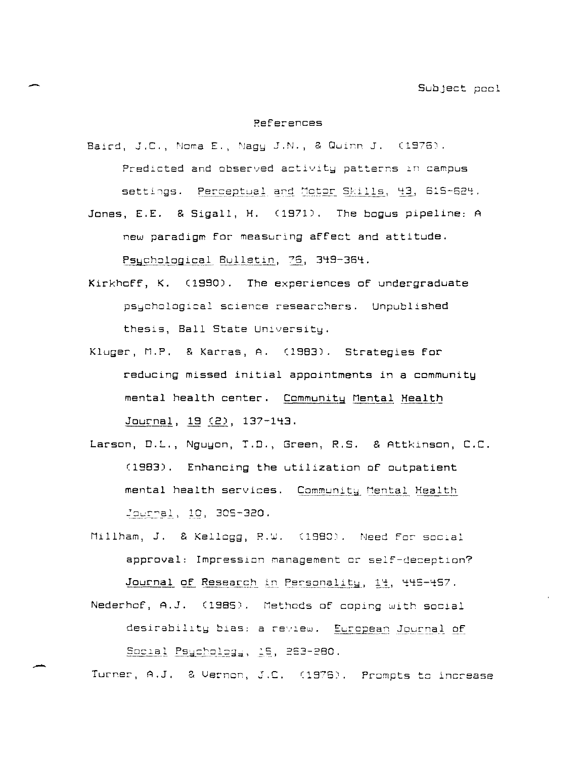#### **References**

Baird, J.C., Noma E., Nagy J.N., & Quinn J. (1976). Predicted and observed activity patterns in campus settings. Perceptual and Motor Skills, 43, 615-624.

Jones, E.E. & Sigall, H. (1971). The bogus pipeline: A new paradigm for measuring affect and attitude. Psychological Bulletin, 76, 349-364.

- Kirkhoff, K. (1990). The experiences of undergraduate psychological science researchers. Unpublished thesis, Ball State University.
- Kluger, M.P. & Karras, A. (1983). Strategies for reducing missed initial appointments in a community mental health center. Community Mental Health Journal, 19 (2), 137-143.
- Larson, D.L., Nguyon, T.D., Green, R.S. & Attkinson, C.C. (1983). Enhancing the utilization of outpatient mental health services. Community Mental Health Journal, 10, 305-320.
- Millham, J. & Kellogg, R.W. (1980). Need for scoial approval: Impression management or self-deception? Journal of Research in Personality, 14, 445-457.
- Nederhof, A.J. (1985). Methods of coping with social desirability bias: a review. European Journal of Social Psychology, 15, 263-280.

Turner, A.J. & Vernon, J.C. (1976). Prompts to increase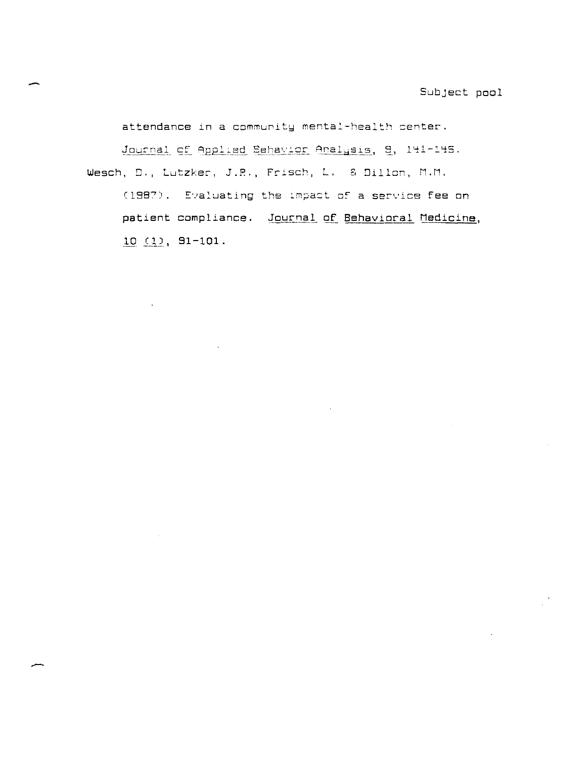attendance in a community mental-health center.

Journal of Applied Behavior Analysis, 9, 141-145. Wesch, D., Lutzker, J.R., Frisch, L. & Dillon, M.M.

(1987). Evaluating the impact of a service fee on patient compliance. Journal of Behavioral Medicine,  $10(1), 91-101.$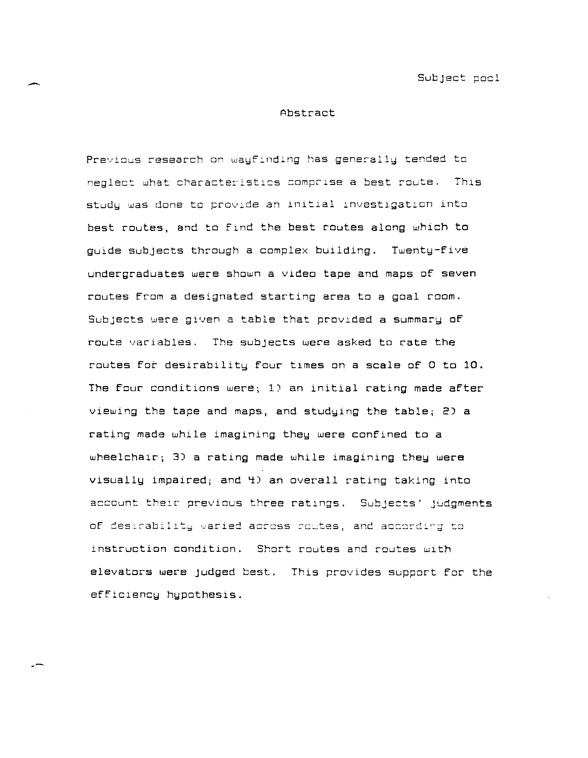**Subject pocl** 

#### Abstract

Previous research on wayfinding has generally tended to **neglect what characteristics** comp~lse **a best route.** This  $stdy$  was done to provide an initial investigation into best routes, and to find the best routes along which to guide subjects through a complex building. Twenty-five undergraduates were shown a video tape and maps of seven routes from a designated starting area to a goal room. Subjects were given a table that provided a summary of route variables. The subjects were asked to rate the routes for desirability four times on a scale of 0 to 10. The four conditions were; 1) an initial rating made after viewing the tape and maps, and studying the table; 2)  $a$ rating made while imagining they were confined to a wheelchair; 3) a rating made while imagining they were visually impaired; and 4) an overall rating taking into account their previous three ratings. Subjects' judgments of desirability varied across coutes, and according to instruction condition. Short routes and routes with elevators were Judged best. This provides support for the efficiency hypothesis.

--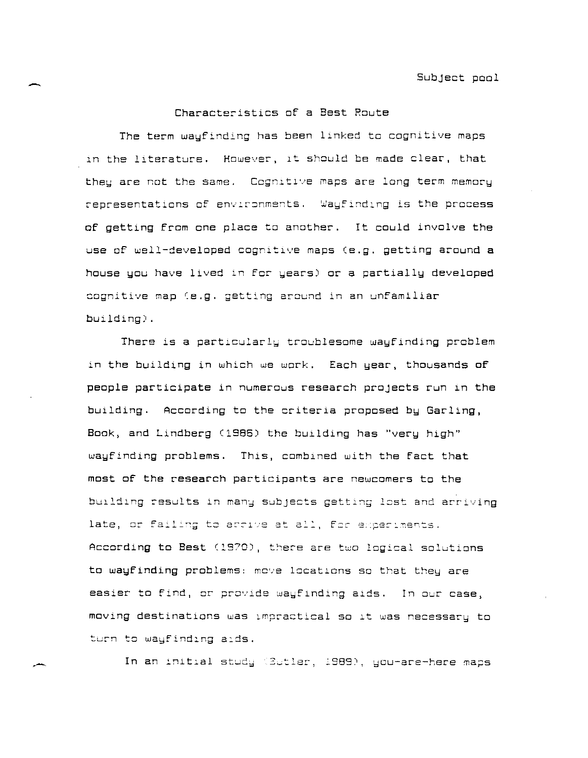# Characteristics of a Best Route

The term wayfinding has been linked to cognitive maps in the literature. However, it should be made clear, that they are not the same. Cognitive maps are long term memory representations of environments. Wayfinding is the process of getting from one place to another. It could involve the use of well-developed cognitive maps (e.g. getting around  $a$ house you have lived in for years) or a partially developed **cognitive map (e.g.** ~etting **around in an unfamiliar**  building) .

There is a particularly troublesome wayfinding problem in the building in which we work. Each year, thousands of people participate in numerous research projects run ln the building. According to the criteria proposed by Garling, Book, and Lindberg (1986) the building has "very high" wayfinding problems. This, combined with the fact that most of the research partioipants are newoomers to the building results in many subjects getting lost and arriving late, or failing to arrive at all, for experiments. According to Best (1970), there are two logical solutions to wayfinding problems: move locations so that they are **easier to find, or provide wayfinding aids. In our case, moving destinations was lmpractlcal so It was necessary to**  turn to wayfinding aids.

In an initial study (Butler, 1989), you-are-here maps

,-

-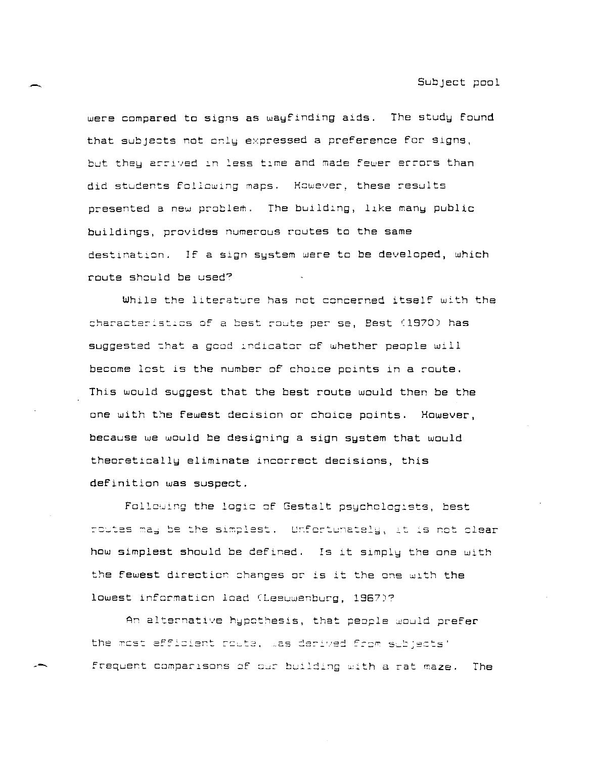were compared to signs as wayfinding aids. The study found that subjects not only expressed a preference for signs, but they arrived in less time and made fewer errors than did students following maps. However, these results presented a new problem. The building, like many public buildings, provides numerous routes to the same destination. If a sign system were to be developed, which route should be used?

While the literature has not concerned itself with the characteristics of a best route per se, Best (1970) has suggested that a good indicator of whether people will become lost is the number of choice points in a route. This would suggest that the best route would then be the one with the fewest decision or choice points. However, because we would be designing a sign system that would theoretically eliminate incorrect decisions, this definition was suspect.

Following the logic of Gestalt psychologists, best routes may be the simplest. Unfortunately, it is not clear how simplest should be defined. Is it simply the one with the fewest direction changes or is it the one with the lowest information load (Leeuwenburg, 1967)?

An alternative hypothesis, that people would prefer the most efficient route, was derived from subjects' frequent comparisons of our building with a rat maze. The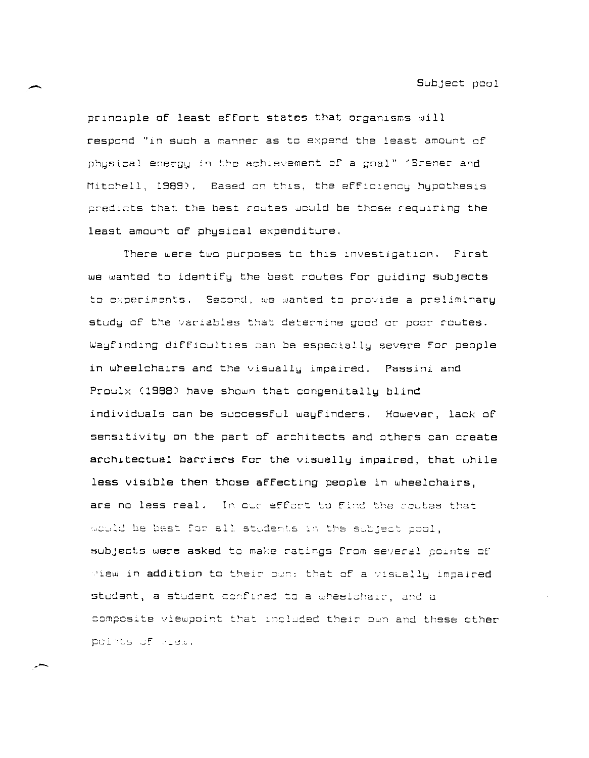Subject pool

principle of least effort states that organisms will respond "in such a manner as to expend the least amount of physical energy in the achievement of a goal" (Brener and Mitchell, 1989). Based on this, the efficiency hypothesis predicts that the best routes would be those requiring the least amount of physical expenditure.

There were two purposes to this investigation. First we wanted to identify the best routes for quiding subjects to experiments. Second, we wanted to provide a preliminary study of the variables that determine good or poor routes. Wayfinding difficulties can be especially severe for people in wheelchairs and the visually impaired. Passini and Proulx (1988) have shown that congenitally blind individuals can be successful wayfinders. However, lack of sensitivity on the part of architects and others can create architectual barriers for the visually impaired, that while less visible then those affecting people in wheelchairs, are no less real. In our effort to find the routes that would be best for all students in the subject pool, subjects were asked to make ratings from several points of wiew in addition to their own: that of a visually impaired student, a student confined to a wheelchair, and a composite viewpoint that included their own and these other points of wiew.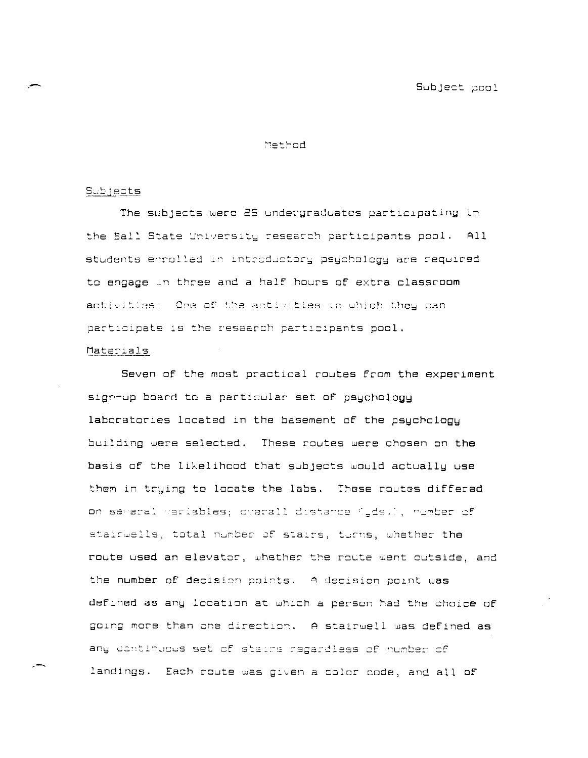## Method

### <u>Subjects</u>

The subjects were 25 undergraduates participating in the Ball State University research participants pool. All students enrolled in introductory psychology are required to engage in three and a half hours of extra classroom activities. One of the activities in which they can participate is the research participants pool. Materials

Seven of the most practical routes from the experiment sign-up board to a particular set of psychology laboratories located in the basement of the psychology building were selected. These routes were chosen on the basis of the likelihood that subjects would actually use them in trying to locate the labs. These routes differed on several variables; overall distance (yds.), number of stairwells, total number of stairs, turns, whether the route used an elevator, whether the route went outside, and the number of decision points. A decision point was defined as any location at which a person had the choice of going more than one direction. A stairwell was defined as any continuous set of stairs regardless of number of landings. Each route was given a color code, and all of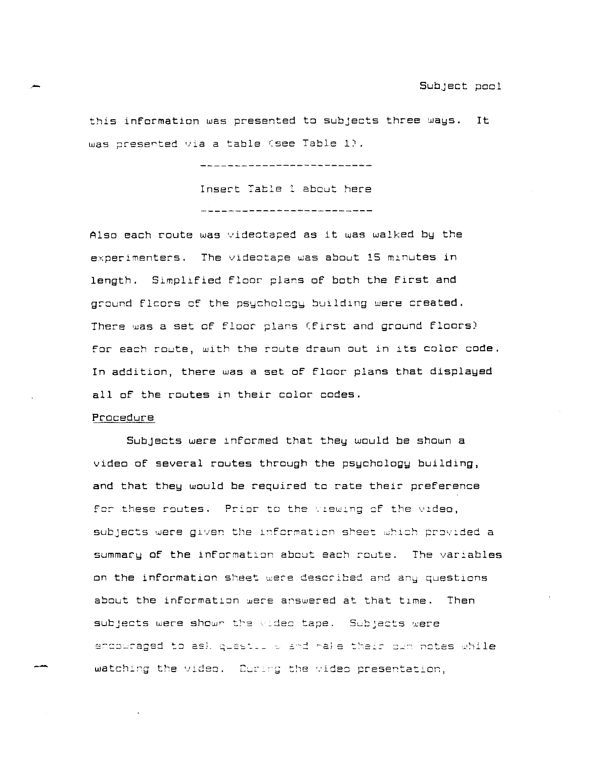this information was presented to subjects three ways. It was presented via a table (see Table 1).

> \_\_\_\_\_\_\_\_\_\_\_\_**\_\_\_\_\_\_\_\_\_\_\_\_\_\_**\_\_\_ Insert Table 1 about here \_\_\_\_\_\_\_\_\_\_\_\_\_\_\_\_\_\_\_\_\_\_\_\_\_\_\_\_

Also each route was videotaped as it was walked by the experimenters. The videotape was about 15 minutes in length. Simplified floor plans of both the first and ground flcors of the psychology building were created. There was a set of floor plans (first and ground floors) for each route, with the route drawn out in its color code. In addition, there was a set of floor plans that displayed all of the routes in their color codes.

## Procedure

Subjects were informed that they would be shown a video of several routes through the psychology building, and that they would be required to rate their preference for these routes. Prior to the viewing of the video, subjects were given the information sheet which provided a summary of the information about each route. The variables an the information sheet were described and any questions about the information were answered at that time. Then **subjects were shown the wided tape.** Subjects were ตุบธรรม watching the video. Curing the video presentation,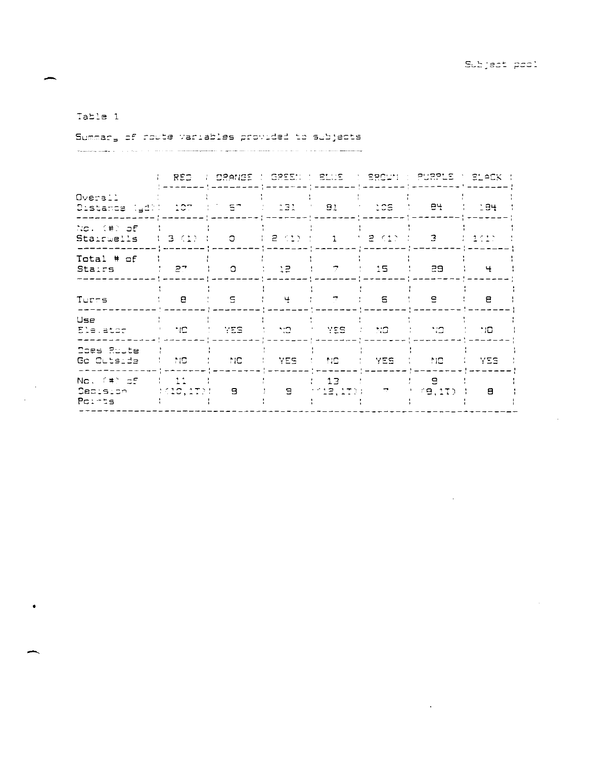# Table 1

Summary of route variables provided to subjects

| the contract of the contract was a series of the contract of the contract of the contract of the contract of the contract of the contract of the contract of the contract of the contract of the contract of the contract of t |  | The contract of the contract of the computation of the computation of the contract of the contract of the contract of the contract of the contract of the contract of the contract of the contract of the contract of the cont |  |
|--------------------------------------------------------------------------------------------------------------------------------------------------------------------------------------------------------------------------------|--|--------------------------------------------------------------------------------------------------------------------------------------------------------------------------------------------------------------------------------|--|

|                                                             | REO.                           |            |                  |                             |                  | A M DRANGE (MGREEN ) BLUS A M BROWN (MPURPLE M BLACK ( |              |
|-------------------------------------------------------------|--------------------------------|------------|------------------|-----------------------------|------------------|--------------------------------------------------------|--------------|
| Overail<br>Distance (gd)( 107 () 57 () 131 ( 81 ( 106 ) 84  |                                |            |                  |                             |                  |                                                        | $-1.34$      |
| No. (#) of<br>$StatementS = \{3, (1) \}$                    |                                |            |                  | $\sim$ 1.1                  | こうこ 見じてき かいきん    | 3                                                      | ようをくださ       |
| Total # of<br><b>Stairs</b>                                 | - 27                           | $\circ$    | $1 - 12$         | 7                           | - 15 -           | 29.                                                    | $\ddot{}$    |
| Turrs                                                       | е                              | -5.        | 4                | ÷.                          | S                | $\mathbf{e}$                                           | Ξ            |
| Use<br>Elevator (1991) NO (1992) 2008 (1992) 1992 2009 2009 |                                |            |                  |                             |                  | t tra                                                  | ا المناسبات  |
| Does Route<br>Go Outside                                    | a ta mata a ta                 | <b>NNC</b> | 그는 모든도 그 그 말을 보니 |                             | <b>IN YES IN</b> | MO.                                                    | YES.         |
| No. (#) of<br><b>Decision</b><br>Points                     | $\frac{1}{2}$ 11<br>1610, 2721 | -9         | $\mathbf{E}$     | 13 <sub>1</sub><br>112,1701 | <u>дан</u>       | 9<br>(9.1T)                                            | $\mathbf{a}$ |
|                                                             |                                |            |                  |                             |                  |                                                        |              |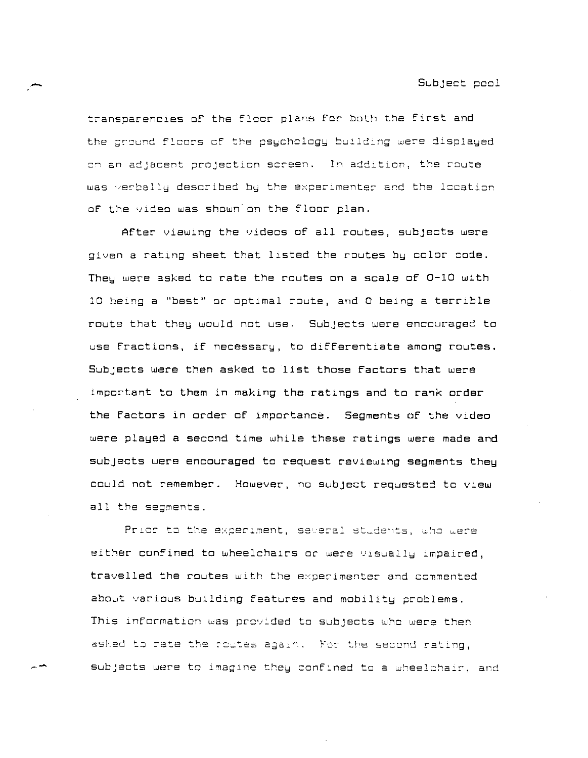transparencies of the floor plans for both the first and the ground floors of the psychology building were displayed cn an adjacent projection screen. In addition, the route was verbally described by the experimenter and the location of the vldeo was shown on the floor plan.

AFter viewlng the videos of all routes, subjects were given a rating sheet that listed the routes by color code. They were asked to rate the routes on a scale of  $0-10$  with 10 being a "best" or optimal route, and 0 being a terrible route that they would not use. Subjects were encouraged to use fractions, if necessary, to differentiate among routes. SUbjects were then asked to list those Factors that were important to them in making the ratings and to rank order the Factors in order of importance. Segments of the video were played a second time while these ratings were made and subjects were encouraged to request reviewing segments they could not remember. However, no subject requested to view all the segments.

Prior to the experiment, several students, who were either confined to wheelchairs or were visually impaired, **travelled the routes with the experimenter and commented**  about various building features and mobility problems. This information was provided to subjects who were then asked to rate the routes again. For the second rating, **subjects were to imagIne** the~ **conf:ned to a wheelcha:r <sup>1</sup>and**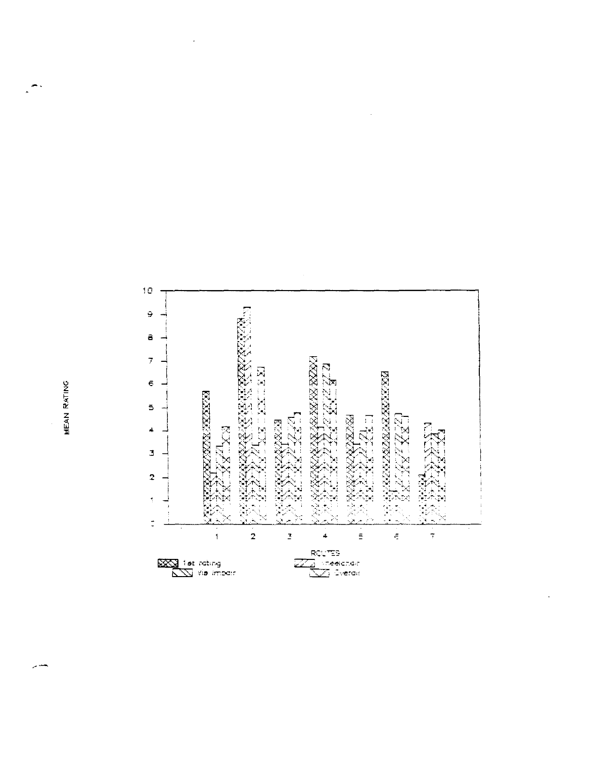

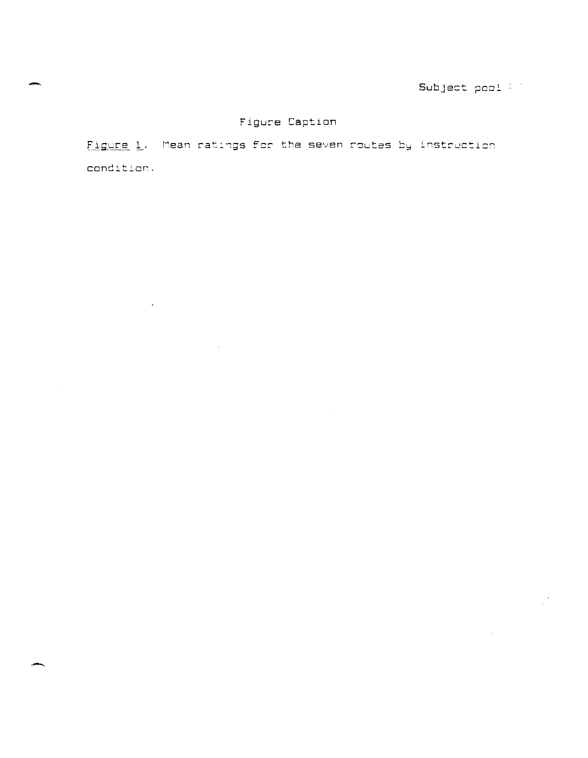# Figure Caption

Figure 1. Mean ratings for the seven routes by instruction condition.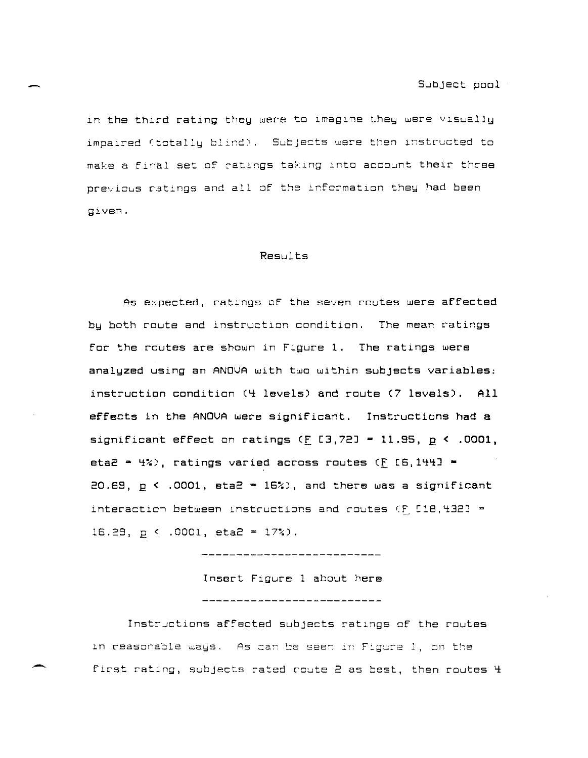in the third rating they were to imagine they were visually impaired (totally blind). Subjects were then instructed to make a final set of ratings taking into account their three previous ratings and all of the information they had been given.

#### Results

As expected, ratings of the seven routes were affected by both route and instruction condition. The mean ratings for the routes are shown in Figure 1. The ratings were analyzed using an ANOVA with two within subjects variables: instruction condition (4 levels) and route (7 levels). All effects in the ANOUA were significant. Instructions had a significant effect on ratings  $(F [3, 72] = 11.95, p \le .0001,$ eta2 =  $4\%)$ , ratings varied across routes  $(E/E6,1441$  = 20.69,  $p \le 0.0001$ , eta2  $\approx 16\%$ ), and there was a significant interaction between instructions and routes  $(F, L18, 432J) =$ 16.29,  $p \lt 0.0001$ , eta2 = 17%).

\_\_\_\_\_\_\_\_\_\_\_\_\_\_\_\_\_\_\_\_\_\_\_\_\_

Insert Figure 1 about here ---------------------------

Instructions affected subjects ratings of the routes in reasonable ways. As can be seen in Figure 1, on the first rating, subjects rated route 2 as best, then routes 4

--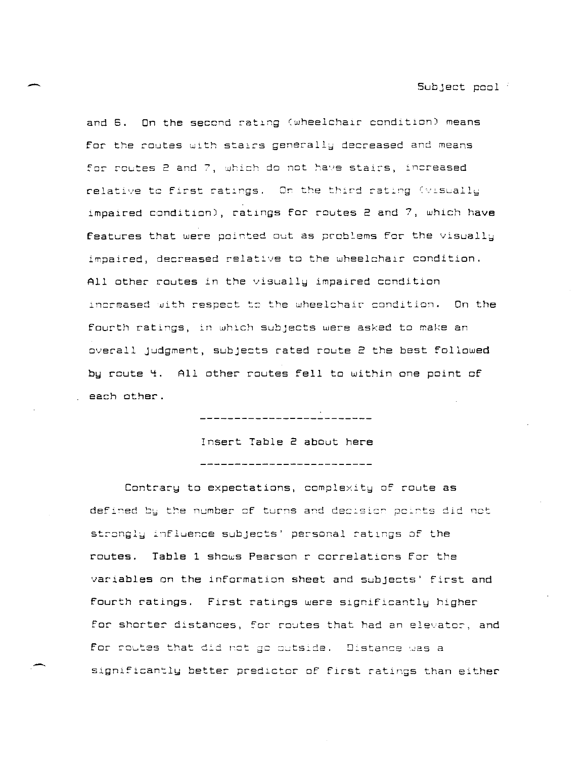and 6. On the second rating (wheelchair condition) means **For the routes** with stairs generally decreased and means ~ar **rowtes 2 and 7,** ~bich **jo net** ~a'.ls stai~s. **in=reased**  relative to first ratings. On the third rating (visually impaired condition), ratings for routes  $2$  and  $7$ , which have **Features that were pointed out as problems for the visually** impaired, decreased relative to the wheelchair condition. All other routes in the visually impaired condition **Increased** ~ith **respect t= the wheelchair condition.** On the **Fourth ratlngs, in which subjects were asked to make an**  overall Judgment, subjects rated route 2 the best followed by route 4. All other routes fell to within one point of each other.

> Insert Table 2 about here \_\_\_\_\_\_\_\_\_\_\_\_\_\_\_\_\_\_\_\_\_\_\_\_\_\_\_

\_\_\_\_\_\_\_\_\_\_\_\_\_\_\_\_\_\_\_\_\_\_\_\_\_\_\_\_\_\_\_\_\_

Contrary to expectations, complexity of route as **defined bk the number** ~f **turns** a~d ~e=:sic~ **pc:rts did net**  strongly influence subjects' personal ratings of the routes. Table 1 shows Pearson r correlations for the variables on the information sheet and subjects' first and fourth ratings. First ratings were significantly higher  $\blacksquare$  for shorter distances, for routes that had an elevator, and for routes that did not go outside. Distance was a signlfican~lu **better predlctor of first ratings than either**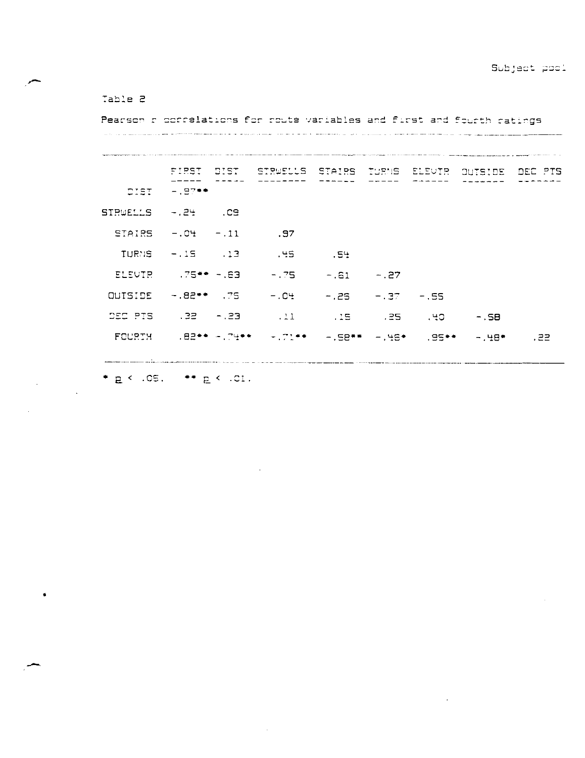## Table 2

Pearson r correlations for route variables and first and fourth ratings 

FIRST DIST STRWELLS STAIRS TURNS ELEVTR OUTSIDE DEC PTS DIST  $-197**$ **STRUELLS**  $-124$   $-129$  $.97$ **STAIRS**  $-.04-.11$  $-15$   $.13$ **TURNS**  $-45$  $.54$ **ELEUTR**  $.75**-.63$  $-1.75$  $-.61 - .27$  $-1.82**$  75 **OUTSIDE**  $-1$   $C<sup>4</sup>$  $-7.26 - 7.37 - 55$ DEC PTS  $.32 - .23$  $-15$   $-15$   $-55$   $-55$  $\sim$  11 

 $* p \leftarrow .05, ** p \leftarrow .01.$ 

 $\bullet$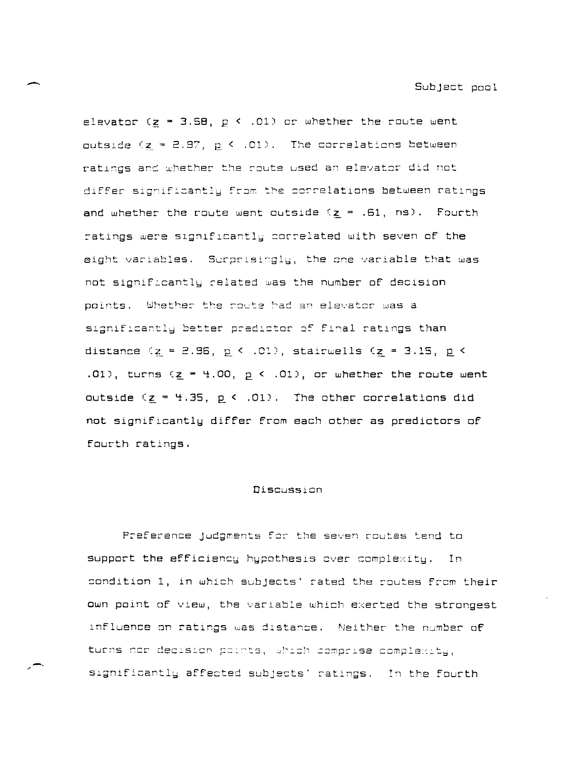elevator  $(g = 3.58, p < .01)$  or whether the route went outside  $(z = 2.97, p \le .01)$ . The correlations between ratings and whether the route used an elevator did not differ significantly from the correlations between ratings and whether the route went outside  $(z = .61, ns)$ . Fourth ratings were significantly correlated with seven of the eight variables. Surprisingly, the one variable that was not significantly related was the number of decision points. Whether the route had an elevator was a significantly better predictor of final ratings than distance ( $z = 2.96$ ,  $p \le .01$ ), stairwells ( $z = 3.15$ ,  $p \le$ .01), turns  $(z = 4.00, p < .01)$ , or whether the route went outside ( $z = 4.35$ ,  $p \le .01$ ). The other correlations did not significantly differ from each other as predictors of fourth ratings.

#### Discussion

Preference judgments for the seven routes tend to support the efficiency hypothesis over complexity. In condition 1, in which subjects' rated the routes from their own point of view, the variable which exerted the strongest influence on ratings was distance. Neither the number of turns nor decision points, which comprise complexity, significantly affected subjects' ratings. In the fourth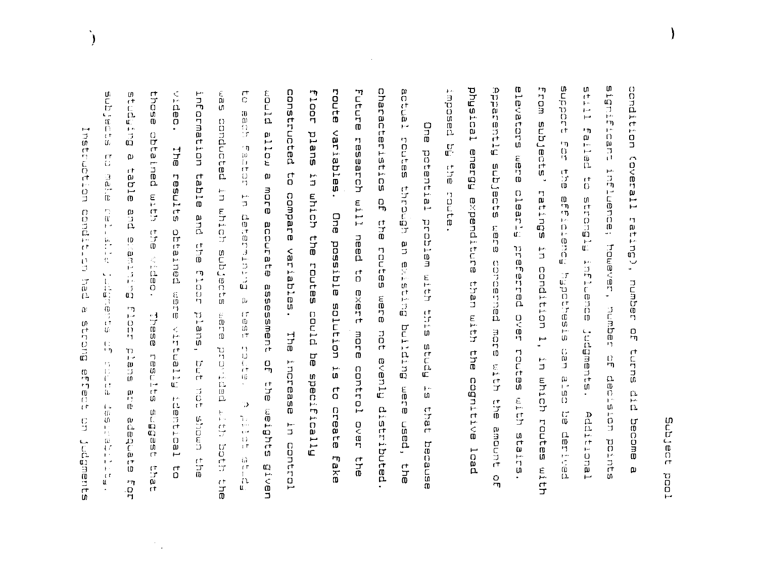Subjec  $\Gamma^\dagger$ DD<br>DD  $\overline{a}$ 

anpapte ហ **SRID**  $\frac{D}{U}$ ū o hη. condition **Bignif** com subjects' TTTTS mposed levators נד<br>מ iteat n,  $\frac{1}{1}$ inan.  $\mathbf{r}$  $\mathbf{n}$  $\mathbb{C}$  $\mathbf{r}_{\mathbf{T}}$  $\frac{1}{1}$ **FIGU** Rouerg  $\frac{1}{2}$ mere (cverall  $\frac{17}{17}$ **subjects Hommodody formal increased**  $\frac{1}{10}$  $\overset{\leftrightarrow}{0}$ **Butil** ratings oute<br>a expenditure Beterence apuertaint Mauce rating), mara<br>D preferred over  $\frac{1}{3}$ pausacuco condition 1, Bisentes number than with Judgments. ם<br>ת more tales with ean<br>E the **Entras**  $\frac{D}{4}$ in which mith ល<br>បា doisideb eoduțețos  $\frac{\text{p}}{\text{p}}$ ن<br>ول  $\tilde{\mathfrak{g}}$ Lencitibe routes with become amount stairs. pentran points Icad  $\omega$  $\frac{1}{6}$ 

characteristics actual constructed route Future qng tho  $\frac{\varepsilon}{9}$  $\mathbf{\tau}$ **floor** K. pthom  $\theta$ information  $\overline{C}$ But Fpn?  $\bar{\tilde{\mu}}$  $\frac{1}{6}$  $\frac{5}{9}$  $\overline{0}$  $\bar{0}$ ig<br>Cic conducted Dhe saldainev allow plans  $\frac{1}{4}$ beriefed じのけだこりけ research will need っここにゅう ់ ព្ コプ potential  $\begin{bmatrix} 10 \\ 11 \\ 17 \end{bmatrix}$  $\frac{\text{C}}{\text{G}}$  $\pmb{\Omega}$ elds eldat  $\pmb{\omega}$  $\begin{array}{c}\n\uparrow \\
\Box\n\end{array}$ ۳.<br>د e<br>Se<br>Se  $\frac{\Omega}{\Gamma}$ **Fesulte** י<br>סב mond accurate assessment Hpporta in which **ELL11** compare uhich  $\frac{1}{2}$ n<br>D 与他行行和行政 Bue condit Dne and Butulunanap 行行回 problem with paurenqo 计可 the<br>1  $\begin{bmatrix} 1 \\ 1 \\ 2 \\ 3 \end{bmatrix}$ Bututaene a<br>C possible variables. cotes subjects veder. Butastra routes could to exert  $\begin{bmatrix} 1 \\ 0 \\ 1 \end{bmatrix}$  $\vec{\tilde{w}}$ <br> $\Omega$ 医切切 m919  $\mathbf{p}$ si noitutios  $\begin{bmatrix} 1 \\ 0 \\ 1 \\ 1 \end{bmatrix}$ Apode etd?  $\frac{1}{4}B\oplus\frac{1}{4}$ plans, but not asadi  $\begin{smallmatrix} E & \cdots \ B & \cdots \ B & \cdots \ B & \cdots \end{smallmatrix}$ Butpithq **Firenain** Buoup more control over hat evenly distributed **The**  $\overset{\leftrightarrow}{\mathbb{G}}_{\mathbf{p}}$ りしいほ pepilipid plied pe specifically eantes increase in control af the weights  $\begin{array}{c} \Gamma_1^* \\ \Gamma_2^* \\ \Gamma_3^* \\ \Gamma_4^* \end{array}$ ות<br>רי  $\sigma_{\rm c}$ a<br>C era<br>O is there  $\frac{1}{2}$ identiesl  $\frac{1}{1+}$ Þ しゅのいちのげい とくす oreate  $\frac{1}{k}$  . seffins  $\begin{array}{l} \mathbf{\tilde{J}}_{11} \\ \mathbf{J}_{12} \\ \mathbf{I}_{21} \\ \mathbf{I}_{31} \end{array}$ dworls eupebs used, sh hoth Juanant Because  $710$  $\Gamma\hspace{-.05cm}\Gamma$  $\frac{17}{10}$  $\begin{array}{c} \mathbb{Z} \\ \mathbb{Z} \\ \mathbb{Z} \end{array}$ Eake  $\frac{1}{10}$ the<br> **Given** en<br>B  $\vec{c}$ ד<br>ק. 다<br>고니 LĻ

 $\ddot{\phantom{a}}$  $\left\langle \mathbf{1}_{1}\right\rangle$ 

 $\frac{1}{2}$ 

 $\Omega^*$ 

w

 $\mathbf{U}$ 

 $\frac{C}{D}$ 

Ù.

 $\bar{\mathcal{A}}$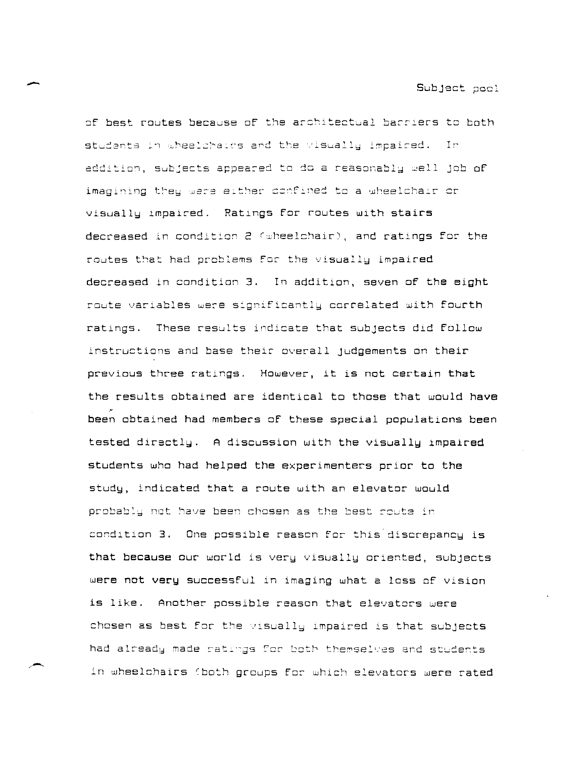- Subject pool

~f **best** ~autes **becaGse of the** ar=hitect~al **barriers** t~ **both**  students in wheelchairs and the visually impaired. In addition, subjects appeared to do a reasonably well job of imagining they were either confined to a wheelchair or visually impaired. Ratings for routes with stairs **decreased** in condition 2 (wheelchair), and ratings for the routes that had problems for the visually impaired decreased in condition 3. In addition, seven of the eight  $r$ oute variables were significantly correlated with fourth ratings. **These results indicate that subjects did follow**  instructions and base their overall Judgements on their previous three ratings. However, it is not certain that the results obtained are identical to those that would have ." been obtained had members of these special populations been tested directly. A discussion with the visually impaired students who had helped the experimenters prior to the study, indicated that a route with an elevator would prcbab:~ **not** ~a'Je **been chosen as** tJ~e **best** r2~t2 **ir**  condition 3. One possible reason for this discrepancy is that because our world is very visually oriented, subjects were not very successful in imaging what a loss of vision is like. Another possible reason that elevators were chosen as best for the *visually impaired is that subjects* had already made ratings for both themselves and students **in wheelchairs Cboth groups fer which elevators were rated**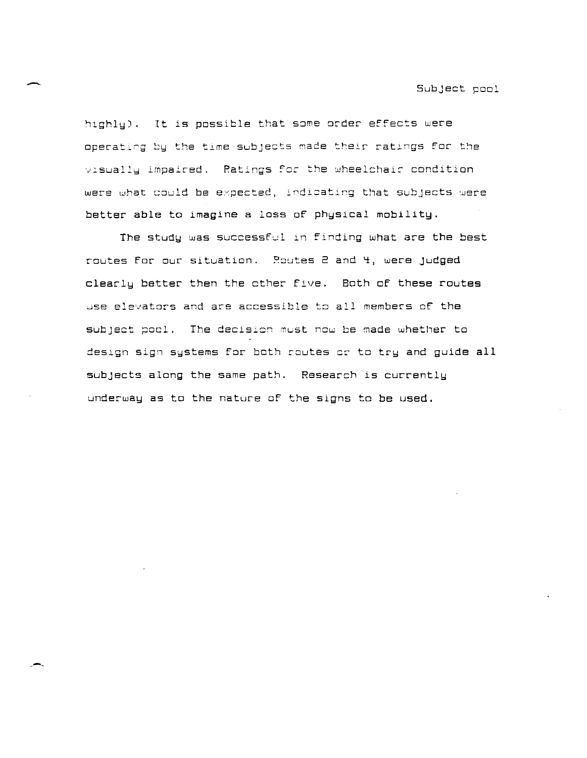Subject pool

highly). It is possible that some order effects were operating by the time subjects made their ratings for the visually impaired. Ratings for the wheelchair condition were what could be expected, indicating that subjects were better able to imagine a loss of physical mobility.

The study was successful in Finding what are the best routes for our situation. Routes 2 and 4, were judged clearly better then the other five. Both of these routes use elevators and are accessible to all members of the subject pool. The decision must now be made whether to design sign systems for both routes or to try and guide all subjects along the same path. Research is currently underway as to the nature of the signs to be used.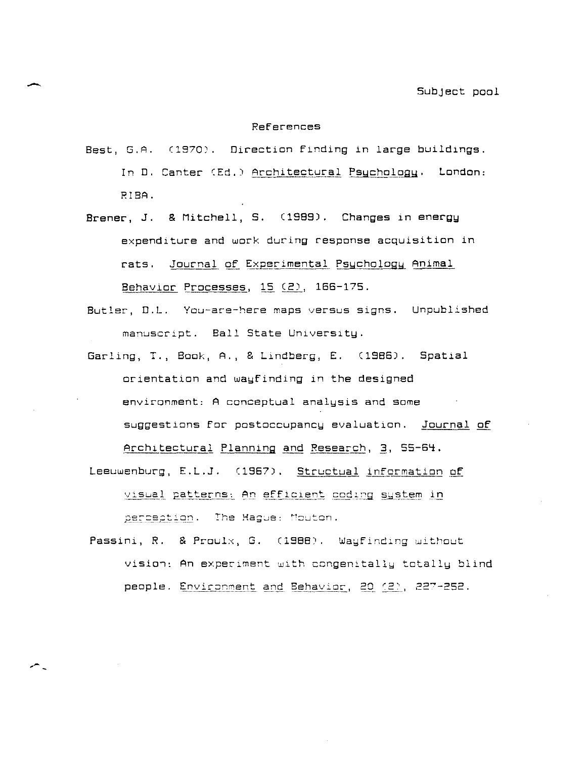#### References

- Best, G.A. (1970). Direction finding in large buildings. In D. Canter (Ed.) Architectural Psychology. London: RIBA.
- Brener, J. & Mitchell, S. (1989). Changes in energy expenditure and work during response acquisition in rats. Journal of Experimental Psychology Animal Behavior Processes, 15 (2), 166-175.
- Butler, D.L. **You-are-here maps versus signs.** Unpublished manuscript. Ball State University.
- Garling, T., Book, A., & Lindberg, E. (1986). Spatial orientation and wayfinding in the designed environment: A conceptual analysis and some suggestions for postoccupancy evaluation. Journal of Architectural Planning and Research, 3, 55-64.
- Leeuwenburg, E.L.J. (1967). Structual information of visual patterns: An efficient coding system in perception. The Hague: Mouton.
- Passini, R. & Proulx, G. (1988). Wayfinding without **visia,: An experiment with** congenitall~ **totally blind**  people, <u>Environment and Behavior, 20 (2)</u>, 227-252.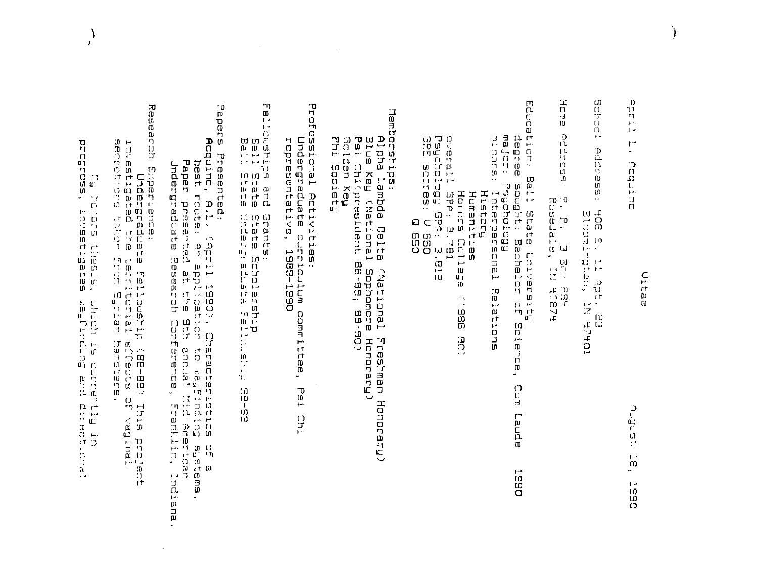Hotel CU. D  $\blacksquare$ **Prof** Research Experience:<br>prisbitated the ferrical:<br>investigated the terrical:<br>introduce the sign form ferrical:  $\stackrel{\cdot\,}{\scriptstyle{\mathfrak{w}}}$ ጣ Memberships:<br>Alpha Lambda Delta (National Fro<br>Blue Key (National Sophomore Ho<br>Phi Society<br>Phi Society  $\alpha$ n<br>F 끱  $\mathbf{D}$ Ċ. presented:<br>Acquino, A.I. (April 1990), Characterice of a<br>best route: An application to wayfinity assems.<br>Paper presente at the 9th moal Mranner, Franklin, Indiana<br>Undergraduate Reserch Conference, Franklin, Indiana  $\ddot{\phantom{1}}$ llowships and<br>Ball State<br>Ball State Ü. Ù фĀ.  $\overline{0}$ Honors College<br>Psychology GPA: 3.781<br>Psychology GPA: 3.812<br>GPE scores: Q 660 مبز Ò.  $\Omega$  $\vec{a}$ major: f<br>minors: degree D  $\mathbf{p}$   $\boldsymbol{\omega}$ rt ssional Activities:<br>Undergraduate curriculum commit<br>representative, 1989–1990 idati Ъ  $\Gamma^*$ **LITES**  $\frac{D}{D}$  $\blacksquare$ 0 ភ្និះ<br>ទី Acquino ny.  $\frac{\sum_{i=1}^{n} x_i}{n}$  $\Omega$ Ball State Univ<br>Psychology<br>Psychology<br>: Interpersonal<br>Humanities<br>! E<br>B ់ទី១ U) e.<br>Readale,<br>Readale, ÷ **Rondra** isants:<br>| state Scholar<br>| state: Scholate abola<br>Bloom  $\mathbf{F}^{\mathbf{a}}$  $\frac{1}{2}$ n ves printing<br>Dacheil  $\begin{array}{c} \square \end{array}$ saneBins<br>'s issin i medigi<br>1915<br>1918 univeresity<br>achelor of  $\blacksquare$  $\begin{bmatrix} 0 \\ 0 \\ 0 \\ 0 \end{bmatrix}$ PIIN  $\mathbf{H}$  $\overline{10}$ HZBZA<br>TOZA  $\begin{array}{c} \mathbb{R}^2 \ \mathbb{R}^2 \ \mathbb{R}^2 \end{array}$ . ប<br>ប mpich is<br>abidundin  $\mathcal{L}^{\mathcal{A}}$ Holm Enternal **ED**  $\ddot{r}$  $\overline{1}$  $\mathbf{u}$ COE-985 ΓÚ  $\bar{r}$ **TORLE**<br>EB Fons N) oieno **D**<br>**COLORED DE**<br>COLORED DE<br>COLORED DE<br>COLORED DE<br>COLORED DE Honorary Freshman apasta pue But<br>Tud and gitado: t<br>Sep m.  $\mathcal{V}$  $\omega$ ក<br>ទី  $\Omega$  $P_{\mathbf{S},\mathbf{1}}$ i<br>Pris proje យ Honorary  $\overline{1}$ р<br>С  $1\mathrm{D}$ aphe<sub>1</sub>  $\frac{D}{L}$ 10 ڌية<br>ون  $\bar{t}$ Lenal  $\mathbf{p},\mathbf{a}$  $-60$  $\Omega$  $\overline{ }$  $\rightarrow$  $\overline{a}$  $\mathsf{t}$  $\mathbf{r}$   $\mathbf{a}$ **O65** 

}  $\lambda$ 

 $\overline{\phantom{a}}$